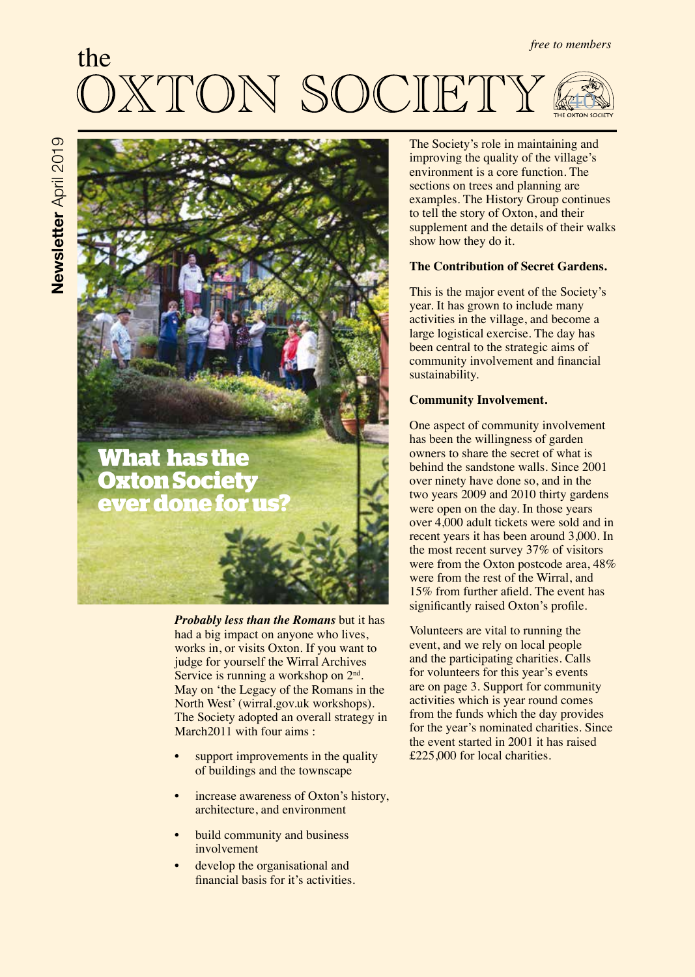# the KTON SOCIETY 40

# **What has the Oxton Society ever done for us?**

*Probably less than the Romans* but it has had a big impact on anyone who lives, works in, or visits Oxton. If you want to judge for yourself the Wirral Archives Service is running a workshop on  $2<sup>nd</sup>$ . May on 'the Legacy of the Romans in the North West' (wirral.gov.uk workshops). The Society adopted an overall strategy in March2011 with four aims :

- support improvements in the quality of buildings and the townscape
- increase awareness of Oxton's history, architecture, and environment
- build community and business involvement
- develop the organisational and fnancial basis for it's activities.

The Society's role in maintaining and improving the quality of the village's environment is a core function. The sections on trees and planning are examples. The History Group continues to tell the story of Oxton, and their supplement and the details of their walks show how they do it.

### **The Contribution of Secret Gardens.**

This is the major event of the Society's year. It has grown to include many activities in the village, and become a large logistical exercise. The day has been central to the strategic aims of community involvement and fnancial sustainability.

# **Community Involvement.**

One aspect of community involvement has been the willingness of garden owners to share the secret of what is behind the sandstone walls. Since 2001 over ninety have done so, and in the two years 2009 and 2010 thirty gardens were open on the day. In those years over 4,000 adult tickets were sold and in recent years it has been around 3,000. In the most recent survey 37% of visitors were from the Oxton postcode area,  $48\%$ were from the rest of the Wirral, and 15% from further afeld. The event has significantly raised Oxton's profile.

Volunteers are vital to running the event, and we rely on local people and the participating charities. Calls for volunteers for this year's events are on page 3. Support for community activities which is year round comes from the funds which the day provides for the year's nominated charities. Since the event started in 2001 it has raised £225,000 for local charities.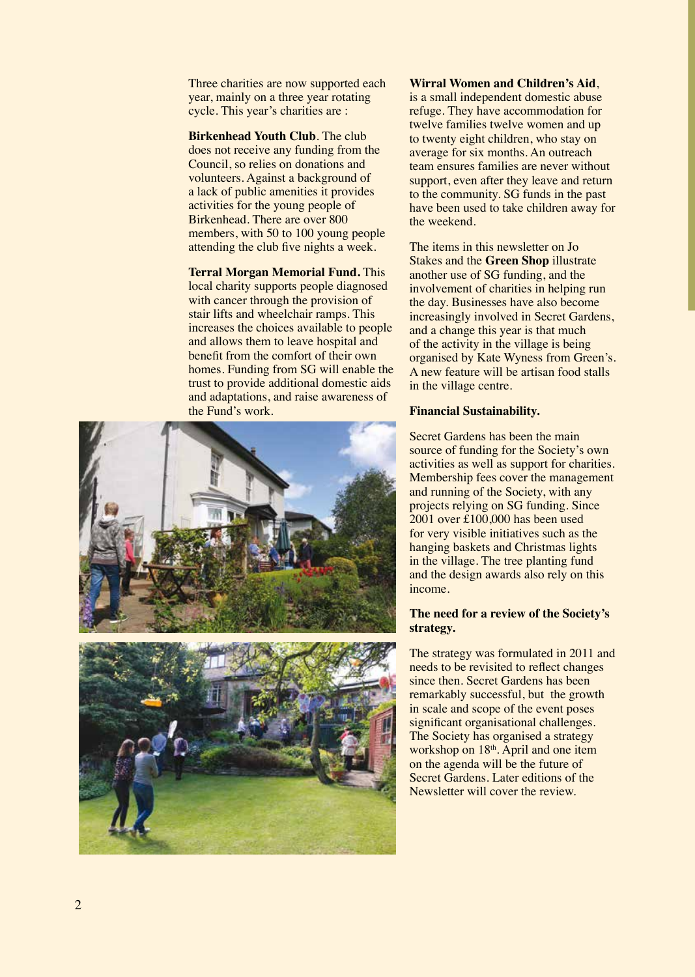Three charities are now supported each year, mainly on a three year rotating cycle. This year's charities are :

**Birkenhead Youth Club**. The club does not receive any funding from the Council, so relies on donations and volunteers. Against a background of a lack of public amenities it provides activities for the young people of Birkenhead. There are over 800 members, with 50 to 100 young people attending the club five nights a week.

**Terral Morgan Memorial Fund.** This local charity supports people diagnosed with cancer through the provision of stair lifts and wheelchair ramps. This increases the choices available to people and allows them to leave hospital and beneft from the comfort of their own homes. Funding from SG will enable the trust to provide additional domestic aids and adaptations, and raise awareness of the Fund's work.





**Wirral Women and Children's Aid**,

is a small independent domestic abuse refuge. They have accommodation for twelve families twelve women and up to twenty eight children, who stay on average for six months. An outreach team ensures families are never without support, even after they leave and return to the community. SG funds in the past have been used to take children away for the weekend.

The items in this newsletter on Jo Stakes and the **Green Shop** illustrate another use of SG funding, and the involvement of charities in helping run the day. Businesses have also become increasingly involved in Secret Gardens, and a change this year is that much of the activity in the village is being organised by Kate Wyness from Green's. A new feature will be artisan food stalls in the village centre.

#### **Financial Sustainability.**

Secret Gardens has been the main source of funding for the Society's own activities as well as support for charities. Membership fees cover the management and running of the Society, with any projects relying on SG funding. Since 2001 over £100,000 has been used for very visible initiatives such as the hanging baskets and Christmas lights in the village. The tree planting fund and the design awards also rely on this income.

#### **The need for a review of the Society's strategy.**

The strategy was formulated in 2011 and needs to be revisited to refect changes since then. Secret Gardens has been remarkably successful, but the growth in scale and scope of the event poses signifcant organisational challenges. The Society has organised a strategy workshop on 18<sup>th</sup>. April and one item on the agenda will be the future of Secret Gardens. Later editions of the Newsletter will cover the review.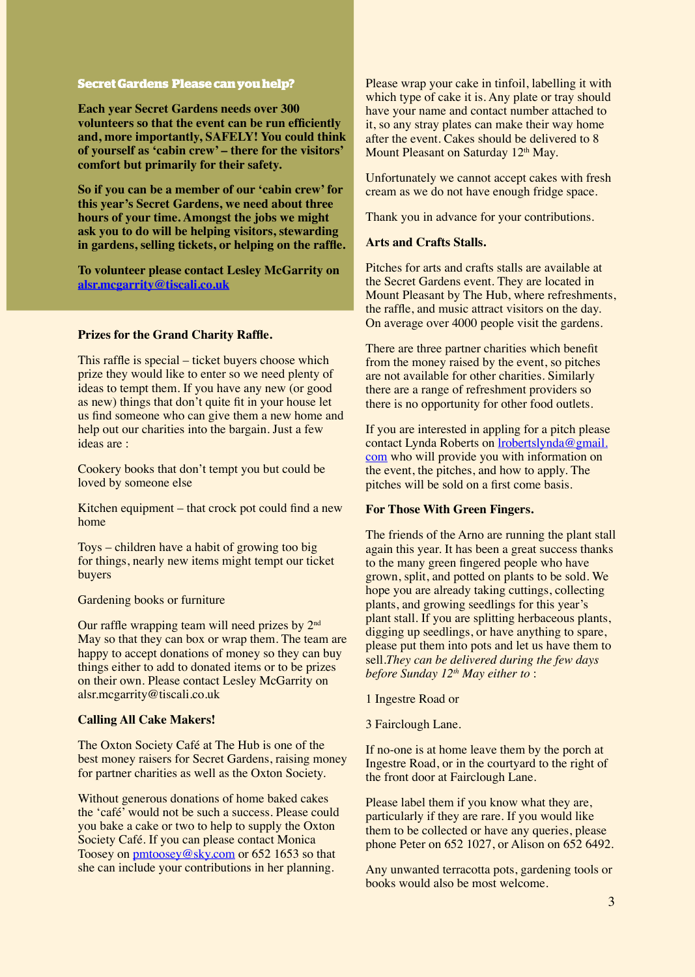# **Secret Gardens Please can you help?**

**Each year Secret Gardens needs over 300 volunteers so that the event can be run effciently and, more importantly, SAFELY! You could think of yourself as 'cabin crew' – there for the visitors' comfort but primarily for their safety.**

**So if you can be a member of our 'cabin crew' for this year's Secret Gardens, we need about three hours of your time. Amongst the jobs we might ask you to do will be helping visitors, stewarding in gardens, selling tickets, or helping on the raffe.**

**To volunteer please contact Lesley McGarrity on alsr.mcgarrity@tiscali.co.uk**

#### **Prizes for the Grand Charity Raffe.**

This raffe is special – ticket buyers choose which prize they would like to enter so we need plenty of ideas to tempt them. If you have any new (or good as new) things that don't quite ft in your house let us fnd someone who can give them a new home and help out our charities into the bargain. Just a few ideas are :

Cookery books that don't tempt you but could be loved by someone else

Kitchen equipment – that crock pot could fnd a new home

Toys – children have a habit of growing too big for things, nearly new items might tempt our ticket buyers

#### Gardening books or furniture

Our raffle wrapping team will need prizes by  $2<sup>nd</sup>$ May so that they can box or wrap them. The team are happy to accept donations of money so they can buy things either to add to donated items or to be prizes on their own. Please contact Lesley McGarrity on alsr.mcgarrity@tiscali.co.uk

#### **Calling All Cake Makers!**

The Oxton Society Café at The Hub is one of the best money raisers for Secret Gardens, raising money for partner charities as well as the Oxton Society.

Without generous donations of home baked cakes the 'café' would not be such a success. Please could you bake a cake or two to help to supply the Oxton Society Café. If you can please contact Monica Toosey on pmtoosey@sky.com or 652 1653 so that she can include your contributions in her planning.

Please wrap your cake in tinfoil, labelling it with which type of cake it is. Any plate or tray should have your name and contact number attached to it, so any stray plates can make their way home after the event. Cakes should be delivered to 8 Mount Pleasant on Saturday 12<sup>th</sup> May.

Unfortunately we cannot accept cakes with fresh cream as we do not have enough fridge space.

Thank you in advance for your contributions.

### **Arts and Crafts Stalls.**

Pitches for arts and crafts stalls are available at the Secret Gardens event. They are located in Mount Pleasant by The Hub, where refreshments, the raffe, and music attract visitors on the day. On average over 4000 people visit the gardens.

There are three partner charities which beneft from the money raised by the event, so pitches are not available for other charities. Similarly there are a range of refreshment providers so there is no opportunity for other food outlets.

If you are interested in appling for a pitch please contact Lynda Roberts on lrobertslynda@gmail. com who will provide you with information on the event, the pitches, and how to apply. The pitches will be sold on a frst come basis.

#### **For Those With Green Fingers.**

The friends of the Arno are running the plant stall again this year. It has been a great success thanks to the many green fngered people who have grown, split, and potted on plants to be sold. We hope you are already taking cuttings, collecting plants, and growing seedlings for this year's plant stall. If you are splitting herbaceous plants, digging up seedlings, or have anything to spare, please put them into pots and let us have them to sell.*They can be delivered during the few days before Sunday 12th May either to* :

- 1 Ingestre Road or
- 3 Fairclough Lane.

If no-one is at home leave them by the porch at Ingestre Road, or in the courtyard to the right of the front door at Fairclough Lane.

Please label them if you know what they are, particularly if they are rare. If you would like them to be collected or have any queries, please phone Peter on 652 1027, or Alison on 652 6492.

Any unwanted terracotta pots, gardening tools or books would also be most welcome.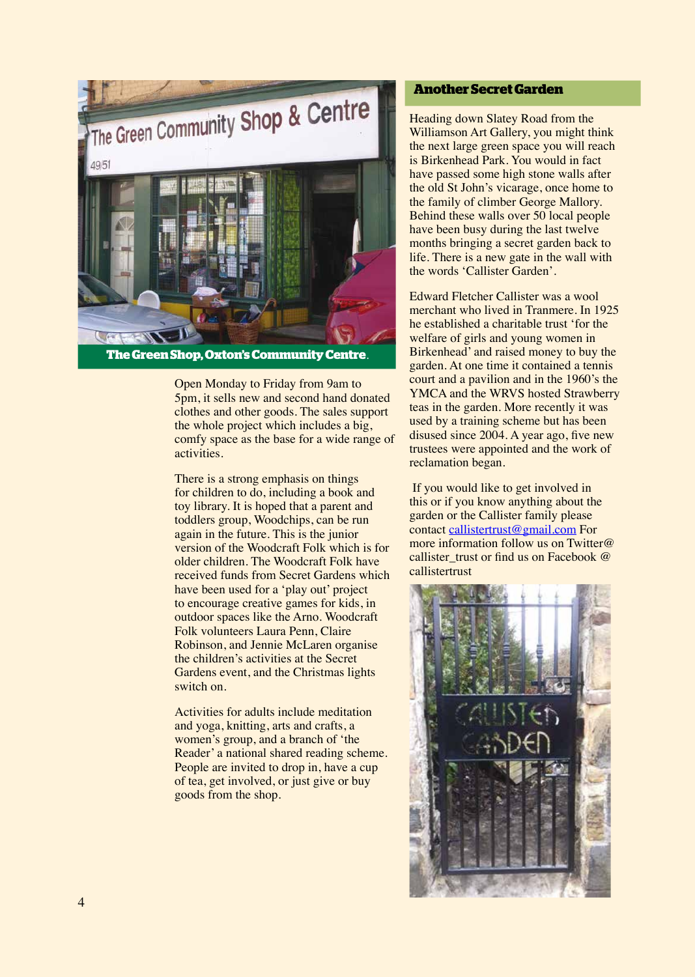

Open Monday to Friday from 9am to 5pm, it sells new and second hand donated clothes and other goods. The sales support the whole project which includes a big, comfy space as the base for a wide range of activities.

There is a strong emphasis on things for children to do, including a book and toy library. It is hoped that a parent and toddlers group, Woodchips, can be run again in the future. This is the junior version of the Woodcraft Folk which is for older children. The Woodcraft Folk have received funds from Secret Gardens which have been used for a 'play out' project to encourage creative games for kids, in outdoor spaces like the Arno. Woodcraft Folk volunteers Laura Penn, Claire Robinson, and Jennie McLaren organise the children's activities at the Secret Gardens event, and the Christmas lights switch on.

Activities for adults include meditation and yoga, knitting, arts and crafts, a women's group, and a branch of 'the Reader' a national shared reading scheme. People are invited to drop in, have a cup of tea, get involved, or just give or buy goods from the shop.

# **Another Secret Garden**

Heading down Slatey Road from the Williamson Art Gallery, you might think the next large green space you will reach is Birkenhead Park. You would in fact have passed some high stone walls after the old St John's vicarage, once home to the family of climber George Mallory. Behind these walls over 50 local people have been busy during the last twelve months bringing a secret garden back to life. There is a new gate in the wall with the words 'Callister Garden'.

Edward Fletcher Callister was a wool merchant who lived in Tranmere. In 1925 he established a charitable trust 'for the welfare of girls and young women in Birkenhead' and raised money to buy the garden. At one time it contained a tennis court and a pavilion and in the 1960's the YMCA and the WRVS hosted Strawberry teas in the garden. More recently it was used by a training scheme but has been disused since 2004. A year ago, five new trustees were appointed and the work of reclamation began.

 If you would like to get involved in this or if you know anything about the garden or the Callister family please contact callistertrust@gmail.com For more information follow us on Twitter@ callister trust or find us on Facebook @ callistertrust

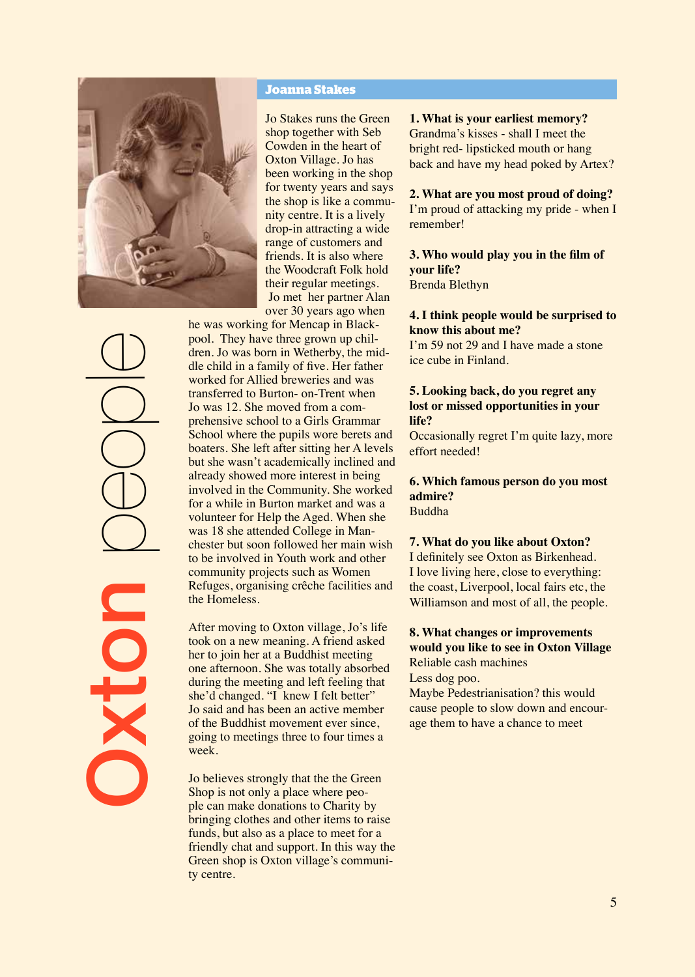

Oxton people

#### **Joanna Stakes**

Jo Stakes runs the Green shop together with Seb Cowden in the heart of Oxton Village. Jo has been working in the shop for twenty years and says the shop is like a community centre. It is a lively drop-in attracting a wide range of customers and friends. It is also where the Woodcraft Folk hold their regular meetings. Jo met her partner Alan over 30 years ago when

he was working for Mencap in Blackpool. They have three grown up children. Jo was born in Wetherby, the middle child in a family of fve. Her father worked for Allied breweries and was transferred to Burton- on-Trent when Jo was 12. She moved from a comprehensive school to a Girls Grammar School where the pupils wore berets and boaters. She left after sitting her A levels but she wasn't academically inclined and already showed more interest in being involved in the Community. She worked for a while in Burton market and was a volunteer for Help the Aged. When she was 18 she attended College in Manchester but soon followed her main wish to be involved in Youth work and other community projects such as Women Refuges, organising crêche facilities and the Homeless.

After moving to Oxton village, Jo's life took on a new meaning. A friend asked her to join her at a Buddhist meeting one afternoon. She was totally absorbed during the meeting and left feeling that she'd changed. "I knew I felt better" Jo said and has been an active member of the Buddhist movement ever since, going to meetings three to four times a week.

Jo believes strongly that the the Green Shop is not only a place where people can make donations to Charity by bringing clothes and other items to raise funds, but also as a place to meet for a friendly chat and support. In this way the Green shop is Oxton village's community centre.

**1. What is your earliest memory?** Grandma's kisses - shall I meet the bright red- lipsticked mouth or hang back and have my head poked by Artex?

**2. What are you most proud of doing?** I'm proud of attacking my pride - when I remember!

**3. Who would play you in the flm of your life?** Brenda Blethyn

**4. I think people would be surprised to know this about me?**

I'm 59 not 29 and I have made a stone ice cube in Finland.

#### **5. Looking back, do you regret any lost or missed opportunities in your life?**

Occasionally regret I'm quite lazy, more effort needed!

#### **6. Which famous person do you most admire?** Buddha

#### **7. What do you like about Oxton?**

I defnitely see Oxton as Birkenhead. I love living here, close to everything: the coast, Liverpool, local fairs etc, the Williamson and most of all, the people.

# **8. What changes or improvements would you like to see in Oxton Village**

Reliable cash machines Less dog poo.

Maybe Pedestrianisation? this would cause people to slow down and encourage them to have a chance to meet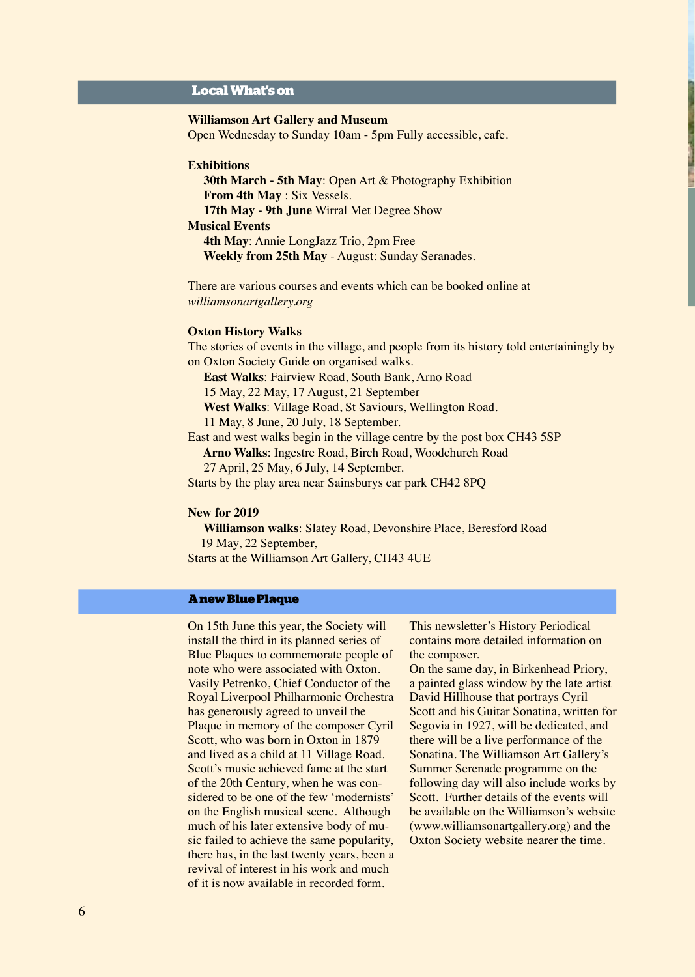# **Local What's on**

#### **Williamson Art Gallery and Museum**

Open Wednesday to Sunday 10am - 5pm Fully accessible, cafe.

#### **Exhibitions**

 **30th March - 5th May: Open Art & Photography Exhibition From 4th May** : Six Vessels.  **17th May - 9th June** Wirral Met Degree Show

# **Musical Events**

 **4th May**: Annie LongJazz Trio, 2pm Free  **Weekly from 25th May** - August: Sunday Seranades.

There are various courses and events which can be booked online at *williamsonartgallery.org*

#### **Oxton History Walks**

The stories of events in the village, and people from its history told entertainingly by on Oxton Society Guide on organised walks.

 **East Walks**: Fairview Road, South Bank, Arno Road

15 May, 22 May, 17 August, 21 September

 **West Walks**: Village Road, St Saviours, Wellington Road.

11 May, 8 June, 20 July, 18 September.

East and west walks begin in the village centre by the post box CH43 5SP

 **Arno Walks**: Ingestre Road, Birch Road, Woodchurch Road

27 April, 25 May, 6 July, 14 September.

Starts by the play area near Sainsburys car park CH42 8PQ

#### **New for 2019**

 **Williamson walks**: Slatey Road, Devonshire Place, Beresford Road 19 May, 22 September, Starts at the Williamson Art Gallery, CH43 4UE

# **A new Blue Plaque**

On 15th June this year, the Society will install the third in its planned series of Blue Plaques to commemorate people of note who were associated with Oxton. Vasily Petrenko, Chief Conductor of the Royal Liverpool Philharmonic Orchestra has generously agreed to unveil the Plaque in memory of the composer Cyril Scott, who was born in Oxton in 1879 and lived as a child at 11 Village Road. Scott's music achieved fame at the start of the 20th Century, when he was considered to be one of the few 'modernists' on the English musical scene. Although much of his later extensive body of music failed to achieve the same popularity, there has, in the last twenty years, been a revival of interest in his work and much of it is now available in recorded form.

This newsletter's History Periodical contains more detailed information on the composer.

On the same day, in Birkenhead Priory, a painted glass window by the late artist David Hillhouse that portrays Cyril Scott and his Guitar Sonatina, written for Segovia in 1927, will be dedicated, and there will be a live performance of the Sonatina. The Williamson Art Gallery's Summer Serenade programme on the following day will also include works by Scott. Further details of the events will be available on the Williamson's website (www.williamsonartgallery.org) and the Oxton Society website nearer the time.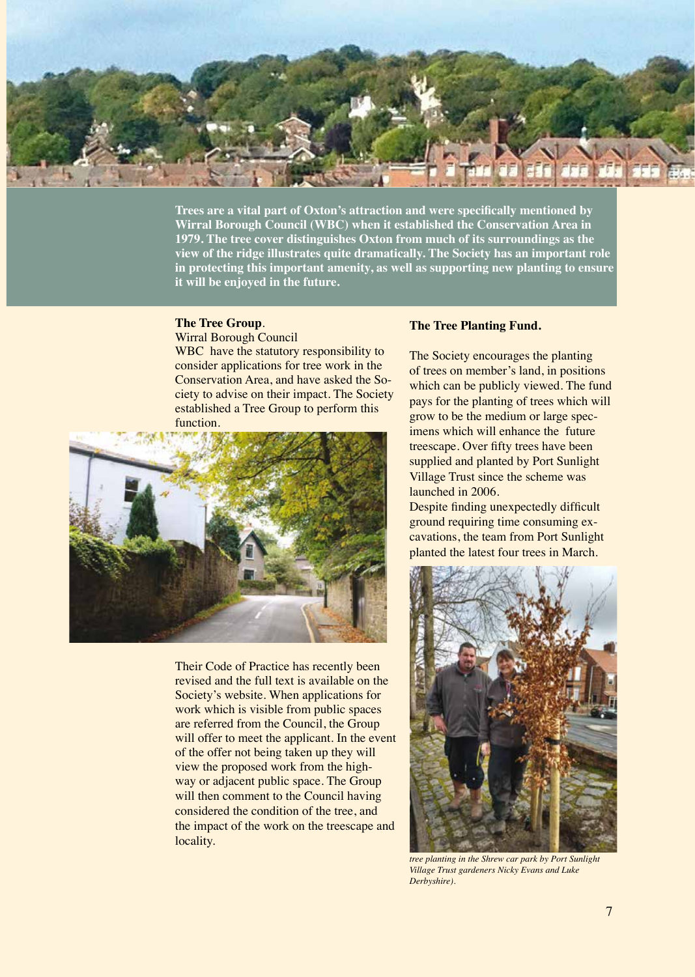

**Trees are a vital part of Oxton's attraction and were specifcally mentioned by Wirral Borough Council (WBC) when it established the Conservation Area in 1979. The tree cover distinguishes Oxton from much of its surroundings as the view of the ridge illustrates quite dramatically. The Society has an important role in protecting this important amenity, as well as supporting new planting to ensure it will be enjoyed in the future.**

# **The Tree Group**.

Wirral Borough Council

WBC have the statutory responsibility to consider applications for tree work in the Conservation Area, and have asked the Society to advise on their impact. The Society established a Tree Group to perform this function.



Their Code of Practice has recently been revised and the full text is available on the Society's website. When applications for work which is visible from public spaces are referred from the Council, the Group will offer to meet the applicant. In the event of the offer not being taken up they will view the proposed work from the highway or adjacent public space. The Group will then comment to the Council having considered the condition of the tree, and the impact of the work on the treescape and locality.

#### **The Tree Planting Fund.**

The Society encourages the planting of trees on member's land, in positions which can be publicly viewed. The fund pays for the planting of trees which will grow to be the medium or large specimens which will enhance the future treescape. Over ffty trees have been supplied and planted by Port Sunlight Village Trust since the scheme was launched in 2006.

Despite finding unexpectedly difficult ground requiring time consuming excavations, the team from Port Sunlight planted the latest four trees in March.



*tree planting in the Shrew car park by Port Sunlight Village Trust gardeners Nicky Evans and Luke Derbyshire).*